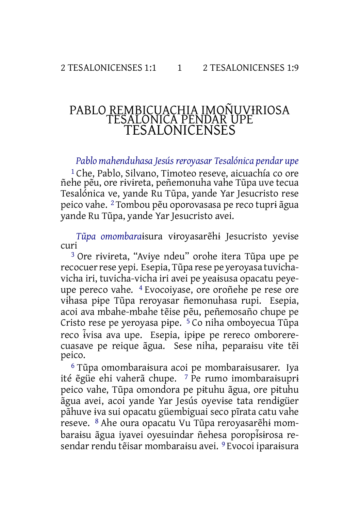## PABLO REMBICUACHIA IMOÑUV<del>I</del>RIOSA TESALONICA PENDAR UPE TESALONICENSES

*Pablo mahenduhasa Jesús reroyasar Tesalónica pendar upe*

1 Che, Pablo, Silvano, Timoteo reseve, aicuachía co ore ñehe pẽu, ore rɨvɨreta, peñemonuha vahe Tũpa uve tecua Tesalónica ve, yande Ru Tũpa, yande Yar Jesucristo rese peico vahe. 2 Tombou pẽu oporovasasa pe reco tuprɨ ãgua yande Ru Tũpa, yande Yar Jesucristo avei.

*Tũpa omombara*ɨsura vɨroyasarẽhɨ Jesucristo yevɨse curi

3 Ore rɨvɨreta, "Avɨye ndeu" orohe itera Tũpa upe pe recocuer rese yepi. Esepia, Tũpa rese pe yeroyasa tuvichavicha iri, tuvicha-vicha iri avei pe yeaɨsusa opacatu peyeupe pereco vahe. 4 Evocoiyase, ore oroñehe pe rese ore vɨhasa pɨpe Tũpa reroyasar ñemonuhasa rupi. Esepia, acoi ava mbahe-mbahe tẽise pẽu, peñemosaño chupe pe Cristo rese pe yeroyasa pɨpe. 5 Co niha omboyecua Tũpa reco ɨvisa ̃ ava upe. Esepia, ipɨpe pe rereco omborerecuasave pe reique ãgua. Sese niha, peparaɨsu vɨte tẽi peico.

6 Tũpa omombaraɨsura acoi pe mombaraɨsusarer. Iya ité ẽgüe ehi vaherã chupe. 7 Pe rumo imombaraɨsuprɨ peico vahe, Tũpa omondora pe pɨtuhu ãgua, ore pɨtuhu ãgua avei, acoi yande Yar Jesús oyevɨse tata rendɨgüer pãhuve ɨva sui opacatu güembiguai seco pĩrata catu vahe reseve. 8 Ahe oura opacatu Vu Tũpa reroyasarẽhɨ mombaraisu ãgua iyavei oyesuindar ñehesa poropisirosa resendar rendu tẽisar mombaraɨsu avei. 9 Evocoi iparaɨsura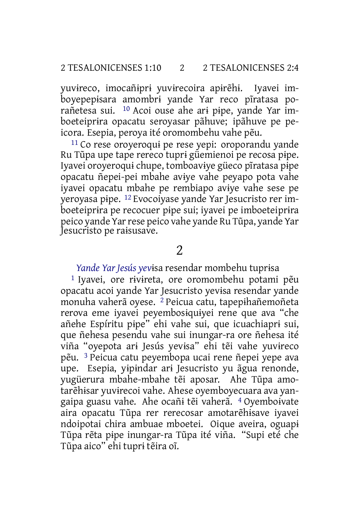yuvɨreco, imocañɨprɨ yuvɨrecoira apɨrẽhɨ. Iyavei imboyepepɨsara amombrɨ yande Yar reco pĩratasa porañetesa sui. 10 Acoi ouse ahe arɨ pɨpe, yande Yar imboeteiprɨra opacatu seroyasar pãhuve; ipãhuve pe peicora. Esepia, peroya ité oromombehu vahe pẽu.

11 Co rese oroyeroquɨ pe rese yepi: oroporandu yande Ru Tũpa upe tape rereco tuprɨ güemienoi pe recosa pɨpe. Iyavei oroyeroquɨ chupe, tomboavɨye güeco pĩratasa pɨpe opacatu ñepei-pei mbahe avɨye vahe peyapo pota vahe iyavei opacatu mbahe pe rembiapo avɨye vahe sese pe yeroyasa pɨpe. 12 Evocoiyase yande Yar Jesucristo rer imboeteiprɨra pe recocuer pɨpe sui; iyavei pe imboeteiprɨra peico yande Yarrese peico vahe yande Ru Tũpa, yande Yar Jesucristo pe raɨsusave.

### $\overline{\mathcal{L}}$

*Yande Yar Jesús yev*ɨsa resendar mombehu tuprɨsa

1 Iyavei, ore rɨvɨreta, ore oromombehu potami pẽu opacatu acoi yande Yar Jesucristo yevɨsa resendar yande monuha vaherã oyese. 2 Peicua catu, tapepɨhañemoñeta rerova eme iyavei peyembosɨquɨyei rene que ava "che añehe Espíritu pɨpe" ehi vahe sui, que icuachiaprɨ sui, que ñehesa pesendu vahe sui inungar-ra ore ñehesa ité viña "oyepota arɨ Jesús yevɨsa" ehi tẽi vahe yuvɨreco pẽu. 3 Peicua catu peyembopa ucai rene ñepei yepe ava upe. Esepia, yɨpɨndar arɨ Jesucristo yu ãgua renonde, yugüerura mbahe-mbahe tẽi aposar. Ahe Tũpa amotarẽhɨsar yuvɨrecoi vahe. Ahese oyemboyecuara ava yangaipa guasu vahe. Ahe ocañɨ tẽi vaherã. 4 Oyemboɨvate aira opacatu Tũpa rer rerecosar amotarẽhɨsave iyavei ndoipotai chira ambuae mboetei. Oique aveira, oguapɨ Tũpa rẽta pɨpe inungar-ra Tũpa ité viña. "Supi eté che Tũpa aico" ehi tuprɨ tẽira oĩ.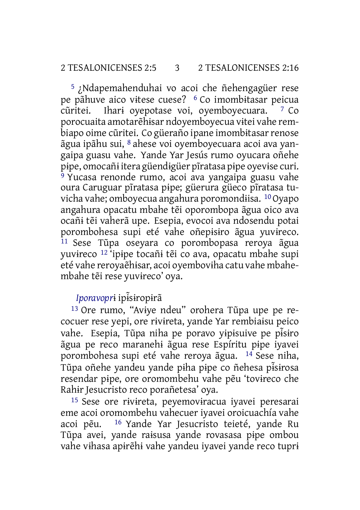5 ¿Ndapemahenduhai vo acoi che ñehengagüer rese pe pãhuve aico vɨtese cuese? 6 Co imombɨtasar peicua  $\tilde{c}$ uritei. Ihari oyepotase voi, oyemboyecuara.  $\tilde{c}$  Co porocuaita amotarẽhɨsar ndoyemboyecua vɨtei vahe rembiapo oime cũritei. Co güeraño ipane imombitasar renose ãgua ipãhu sui, 8 ahese voi oyemboyecuara acoi ava yangaipa guasu vahe. Yande Yar Jesús rumo oyucara oñehe pɨpe, omocañɨ itera güendɨgüer pĩratasa pɨpe oyevɨse curi. <sup>9</sup> Yucasa renonde rumo, acoi ava yangaipa guasu vahe oura Caruguar pĩratasa pɨpe; güerura güeco pĩratasa tuvicha vahe; omboyecua angahura poromondɨisa. 10Oyapo angahura opacatu mbahe tẽi oporombopa ãgua oico ava ocañɨ tẽi vaherã upe. Esepia, evocoi ava ndosendu potai porombohesa supi eté vahe oñepɨsɨro ãgua yuvɨreco. 11 Sese Tũpa oseyara co porombopasa reroya ãgua yuvɨreco 12 'ipɨpe tocañɨ tẽi co ava, opacatu mbahe supi eté vahe reroyaẽhɨsar, acoi oyembovɨha catu vahe mbahembahe tẽi rese yuvɨreco' oya.

## *Iporavopr*ɨ ipɨs̃ɨropɨrã

13 Ore rumo, "Avɨye ndeu" orohera Tũpa upe pe recocuer rese yepi, ore rɨvɨreta, yande Yar rembiaɨsu peico vahe. Esepia, Tũpa niha pe poravo yɨpɨsuive pe pɨs̃ɨro ãgua pe reco maranehɨ ãgua rese Espíritu pɨpe iyavei porombohesa supi eté vahe reroya ãgua. 14 Sese niha, Tũpa oñehe yandeu yande pɨha pɨpe co ñehesa pɨs̃ɨrosa resendar pɨpe, ore oromombehu vahe pẽu 'tovɨreco che Rahɨr Jesucristo reco porañetesa' oya.

15 Sese ore rɨvɨreta, peyemovɨracua iyavei peresarai eme acoi oromombehu vahecuer iyavei oroicuachía vahe acoi pẽu. 16 Yande Yar Jesucristo teieté, yande Ru Tũpa avei, yande raɨsusa yande rovasasa pɨpe ombou vahe vɨhasa apɨrẽhɨ vahe yandeu iyavei yande reco tuprɨ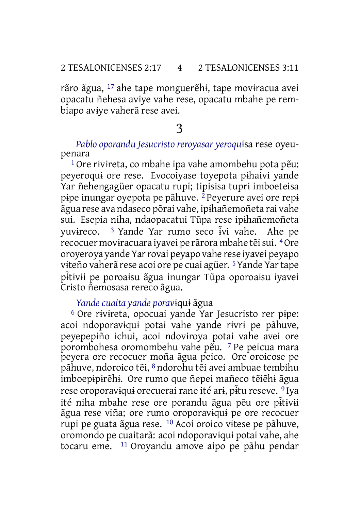rãro ãgua, 17 ahe tape monguerẽhɨ, tape movɨracua avei opacatu ñehesa avɨye vahe rese, opacatu mbahe pe rembiapo avɨye vaherã rese avei.

## 3

*Pablo oporandu Jesucristo reroyasar yeroqu*ɨsa rese oyeupenara

1 Ore rɨvɨreta, co mbahe ipa vahe amombehu pota pẽu: peyeroquɨ ore rese. Evocoiyase toyepota pɨhaivi yande Yar ñehengagüer opacatu rupi; tipɨsɨsa tuprɨ imboeteisa pɨpe inungar oyepota pe pãhuve. 2 Peyerure avei ore repɨ ãgua rese ava ndaseco põrai vahe, ipɨhañemoñeta rai vahe sui. Esepia niha, ndaopacatui Tũpa rese ipɨhañemoñeta yuvɨreco. <sup>3</sup> Yande Yar rumo seco ɨvĩ vahe. Ahe pe recocuer movɨracuara iyavei pe rãrora mbahe tẽisui. 4Ore oroyeroya yande Yarrovai peyapo vahe rese iyavei peyapo vɨteño vaherã rese acoi ore pe cuai agüer. 5Yande Yartape pɨ ̃tɨvɨi pe poroaɨsu ãgua inungar Tũpa oporoaɨsu iyavei Cristo ñemosasa rereco ãgua.

#### *Yande cuaita yande porav*ɨquɨ ãgua

6 Ore rɨvɨreta, opocuai yande Yar Jesucristo rer pɨpe: acoi ndoporavɨquɨ potai vahe yande rɨvrɨ pe pãhuve, peyepepɨño ichui, acoi ndovɨroya potai vahe avei ore porombohesa oromombehu vahe pẽu. 7 Pe peicua mara peyera ore recocuer moña ãgua peico. Ore oroicose pe pãhuve, ndoroico tẽi, 8 ndorohu tẽi avei ambuae tembihu imboepɨpɨrẽhɨ. Ore rumo que ñepei mañeco tẽiẽhɨ ãgua rese oroporaviqui orecuerai rane ité ari, pitu reseve. <sup>9</sup>Iya ité niha mbahe rese ore porandu ãgua pẽu ore pɨ ̃tɨvɨi ãgua rese viña; ore rumo oroporavɨquɨ pe ore recocuer rupi pe guata ãgua rese. 10 Acoi oroico vɨtese pe pãhuve, oromondo pe cuaitarã: acoi ndoporavɨquɨ potai vahe, ahe tocaru eme. 11 Oroyandu amove aipo pe pãhu pendar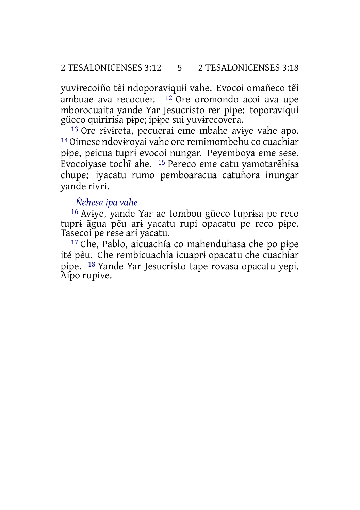yuvɨrecoiño tẽi ndoporavɨquɨi vahe. Evocoi omañeco tẽi ambuae ava recocuer. 12 Ore oromondo acoi ava upe mborocuaita yande Yar Jesucristo rer pɨpe: toporavɨquɨ güeco quiririsa pɨpe; ipɨpe sui yuvɨrecovera.

13 Ore rɨvɨreta, pecuerai eme mbahe avɨye vahe apo. 14Oimese ndovɨroyai vahe ore remimombehu co cuachiar pɨpe, peicua tuprɨ evocoi nungar. Peyemboya eme sese. Evocoiyase tochĩ ahe. 15 Pereco eme catu yamotarẽhɨsa chupe; iyacatu rumo pemboaracua catuñora inungar yande rɨvrɨ.

#### *Ñehesa ipa vahe*

16 Avɨye, yande Yar ae tombou güeco tuprɨsa pe reco tuprɨ ãgua pẽu arɨ yacatu rupi opacatu pe reco pɨpe. Tasecoi pe rese arɨ yacatu.

17 Che, Pablo, aicuachía co mahenduhasa che po pɨpe ité pẽu. Che rembicuachía icuaprɨ opacatu che cuachiar pɨpe. 18 Yande Yar Jesucristo tape rovasa opacatu yepi. Aipo rupive.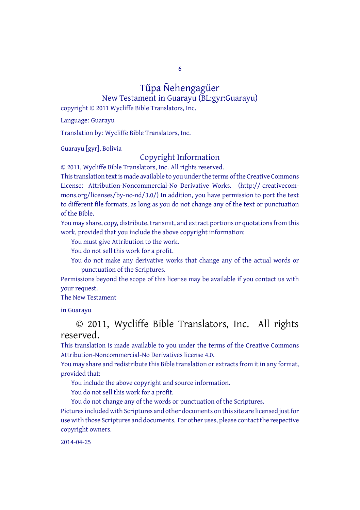6

# Tũpa Ñehengagüer

New Testament in Guarayu (BL:gyr:Guarayu) copyright © 2011 Wycliffe Bible Translators, Inc.

Language: Guarayu

Translation by: Wycliffe Bible Translators, Inc.

Guarayu [gyr], Bolivia

#### Copyright Information

© 2011, Wycliffe Bible Translators, Inc. All rights reserved.

This translation text is made available to you under the terms of the Creative [Commons](http://creativecommons.org/licenses/by-nc-nd/4.0/) License: [Attribution-Noncommercial-No](http://creativecommons.org/licenses/by-nc-nd/4.0/) Derivative Works. (http:// creativecommons.org/licenses/by-nc-nd/3.0/) In addition, you have permission to port the text to different file formats, as long as you do not change any of the text or punctuation of the Bible.

You may share, copy, distribute, transmit, and extract portions or quotations from this work, provided that you include the above copyright information:

You must give Attribution to the work.

You do not sell this work for a profit.

You do not make any derivative works that change any of the actual words or punctuation of the Scriptures.

Permissions beyond the scope of this license may be available if you contact us with your request.

The New Testament

in Guarayu

#### © 2011, Wycliffe Bible Translators, Inc. All rights reserved.

This translation is made available to you under the terms of the Creative Commons Attribution-Noncommercial-No Derivatives license 4.0.

You may share and redistribute this Bible translation or extracts from it in any format, provided that:

You include the above copyright and source information.

You do not sell this work for a profit.

You do not change any of the words or punctuation of the Scriptures. Pictures included with Scriptures and other documents on this site are licensed just for use with those Scriptures and documents. For other uses, please contact the respective copyright owners.

2014-04-25